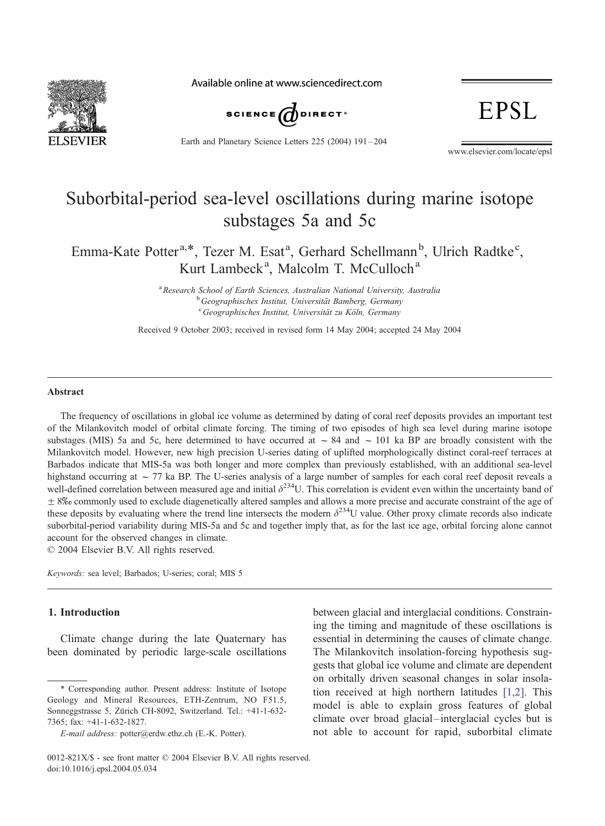

Available online at www.sciencedirect.com



Earth and Planetary Science Letters 225 (2004) 191 – 204

**EPSL** 

www.elsevier.com/locate/epsl

# Suborbital-period sea-level oscillations during marine isotope substages 5a and 5c

Emma-Kate Potter<sup>a,\*</sup>, Tezer M. Esat<sup>a</sup>, Gerhard Schellmann<sup>b</sup>, Ulrich Radtke<sup>c</sup>, Kurt Lambeck<sup>a</sup>, Malcolm T. McCulloch<sup>a</sup>

> <sup>a</sup> Research School of Earth Sciences, Australian National University, Australia<br>b Geographisches Institut Universität Rambarg Garmany <sup>b</sup> Geographisches Institut, Universität Bamberg, Germany  $C$ Geographisches Institut, Universität zu Köln, Germany

Received 9 October 2003; received in revised form 14 May 2004; accepted 24 May 2004

#### Abstract

The frequency of oscillations in global ice volume as determined by dating of coral reef deposits provides an important test of the Milankovitch model of orbital climate forcing. The timing of two episodes of high sea level during marine isotope substages (MIS) 5a and 5c, here determined to have occurred at  $\sim 84$  and  $\sim 101$  ka BP are broadly consistent with the Milankovitch model. However, new high precision U-series dating of uplifted morphologically distinct coral-reef terraces at Barbados indicate that MIS-5a was both longer and more complex than previously established, with an additional sea-level highstand occurring at  $\sim$  77 ka BP. The U-series analysis of a large number of samples for each coral reef deposit reveals a well-defined correlation between measured age and initial  $\delta^{234}$ U. This correlation is evident even within the uncertainty band of  $\pm$  8% commonly used to exclude diagenetically altered samples and allows a more precise and accurate constraint of the age of these deposits by evaluating where the trend line intersects the modern  $\delta^{234}U$  value. Other proxy climate records also indicate suborbital-period variability during MIS-5a and 5c and together imply that, as for the last ice age, orbital forcing alone cannot account for the observed changes in climate.

 $\odot$  2004 Elsevier B.V. All rights reserved.

Keywords: sea level; Barbados; U-series; coral; MIS 5

# 1. Introduction

Climate change during the late Quaternary has been dominated by periodic large-scale oscillations

between glacial and interglacial conditions. Constraining the timing and magnitude of these oscillations is essential in determining the causes of climate change. The Milankovitch insolation-forcing hypothesis suggests that global ice volume and climate are dependent on orbitally driven seasonal changes in solar insolation received at high northern latitudes [\[1,2\].](#page-11-0) This model is able to explain gross features of global climate over broad glacial –interglacial cycles but is not able to account for rapid, suborbital climate

<sup>\*</sup> Corresponding author. Present address: Institute of Isotope Geology and Mineral Resources, ETH-Zentrum, NO F51.5, Sonneggstrasse 5, Zürich CH-8092, Switzerland. Tel.: +41-1-632-7365; fax: +41-1-632-1827.

E-mail address: potter@erdw.ethz.ch (E.-K. Potter).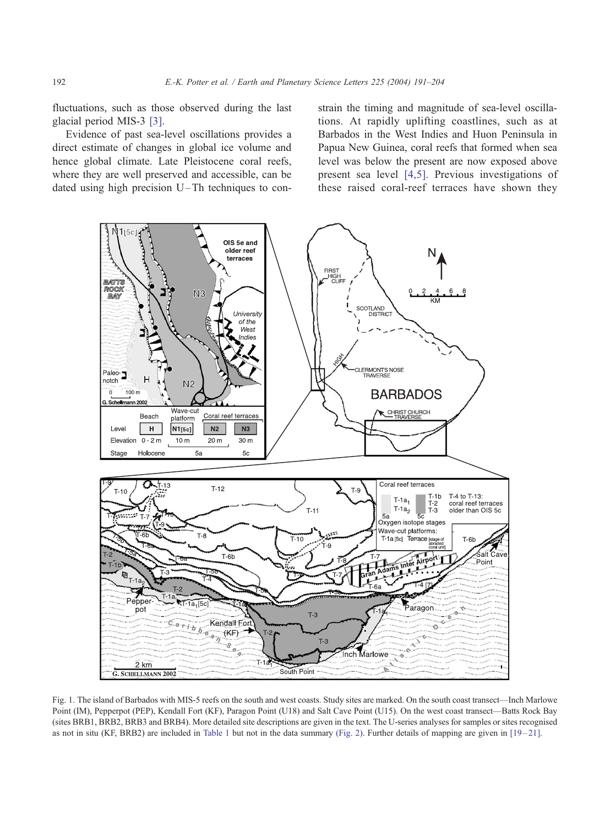<span id="page-1-0"></span>fluctuations, such as those observed during the last glacial period MIS-3 [\[3\].](#page-11-0)

Evidence of past sea-level oscillations provides a direct estimate of changes in global ice volume and hence global climate. Late Pleistocene coral reefs, where they are well preserved and accessible, can be dated using high precision  $U$ –Th techniques to constrain the timing and magnitude of sea-level oscillations. At rapidly uplifting coastlines, such as at Barbados in the West Indies and Huon Peninsula in Papua New Guinea, coral reefs that formed when sea level was below the present are now exposed above present sea level [\[4,5\].](#page-11-0) Previous investigations of these raised coral-reef terraces have shown they



Fig. 1. The island of Barbados with MIS-5 reefs on the south and west coasts. Study sites are marked. On the south coast transect—Inch Marlowe Point (IM), Pepperpot (PEP), Kendall Fort (KF), Paragon Point (U18) and Salt Cave Point (U15). On the west coast transect—Batts Rock Bay (sites BRB1, BRB2, BRB3 and BRB4). More detailed site descriptions are given in the text. The U-series analyses for samples or sites recognised as not in situ (KF, BRB2) are included in [Table 1](#page-4-0) but not in the data summary [\(Fig. 2\).](#page-3-0) Further details of mapping are given in  $[19-21]$ .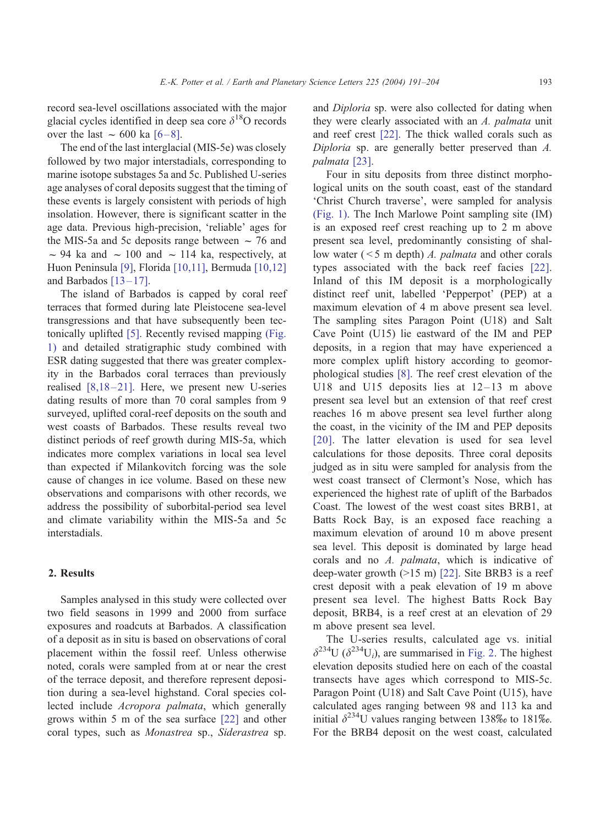record sea-level oscillations associated with the major glacial cycles identified in deep sea core  $\delta^{18}O$  records over the last  $\sim$  600 ka [6–8].

The end of the last interglacial (MIS-5e) was closely followed by two major interstadials, corresponding to marine isotope substages 5a and 5c. Published U-series age analyses of coral deposits suggest that the timing of these events is largely consistent with periods of high insolation. However, there is significant scatter in the age data. Previous high-precision, 'reliable' ages for the MIS-5a and 5c deposits range between  $\sim$  76 and  $\sim$  94 ka and  $\sim$  100 and  $\sim$  114 ka, respectively, at Huon Peninsula [\[9\],](#page-11-0) Florida [\[10,11\],](#page-11-0) Bermuda [\[10,12\]](#page-11-0) and Barbados  $[13-17]$ .

The island of Barbados is capped by coral reef terraces that formed during late Pleistocene sea-level transgressions and that have subsequently been tectonically uplifted [\[5\].](#page-11-0) Recently revised mapping [\(Fig.](#page-1-0) 1) and detailed stratigraphic study combined with ESR dating suggested that there was greater complexity in the Barbados coral terraces than previously realised  $[8,18-21]$ . Here, we present new U-series dating results of more than 70 coral samples from 9 surveyed, uplifted coral-reef deposits on the south and west coasts of Barbados. These results reveal two distinct periods of reef growth during MIS-5a, which indicates more complex variations in local sea level than expected if Milankovitch forcing was the sole cause of changes in ice volume. Based on these new observations and comparisons with other records, we address the possibility of suborbital-period sea level and climate variability within the MIS-5a and 5c interstadials.

## 2. Results

Samples analysed in this study were collected over two field seasons in 1999 and 2000 from surface exposures and roadcuts at Barbados. A classification of a deposit as in situ is based on observations of coral placement within the fossil reef. Unless otherwise noted, corals were sampled from at or near the crest of the terrace deposit, and therefore represent deposition during a sea-level highstand. Coral species collected include Acropora palmata, which generally grows within 5 m of the sea surface [\[22\]](#page-12-0) and other coral types, such as Monastrea sp., Siderastrea sp.

and Diploria sp. were also collected for dating when they were clearly associated with an A. palmata unit and reef crest [\[22\].](#page-12-0) The thick walled corals such as Diploria sp. are generally better preserved than A. palmata [\[23\].](#page-12-0)

Four in situ deposits from three distinct morphological units on the south coast, east of the standard 'Christ Church traverse', were sampled for analysis [\(Fig. 1\).](#page-1-0) The Inch Marlowe Point sampling site (IM) is an exposed reef crest reaching up to 2 m above present sea level, predominantly consisting of shallow water  $($  < 5 m depth)  $A$ . *palmata* and other corals types associated with the back reef facies [\[22\].](#page-12-0) Inland of this IM deposit is a morphologically distinct reef unit, labelled 'Pepperpot' (PEP) at a maximum elevation of 4 m above present sea level. The sampling sites Paragon Point (U18) and Salt Cave Point (U15) lie eastward of the IM and PEP deposits, in a region that may have experienced a more complex uplift history according to geomorphological studies [\[8\].](#page-11-0) The reef crest elevation of the U18 and U15 deposits lies at  $12-13$  m above present sea level but an extension of that reef crest reaches 16 m above present sea level further along the coast, in the vicinity of the IM and PEP deposits [\[20\].](#page-12-0) The latter elevation is used for sea level calculations for those deposits. Three coral deposits judged as in situ were sampled for analysis from the west coast transect of Clermont's Nose, which has experienced the highest rate of uplift of the Barbados Coast. The lowest of the west coast sites BRB1, at Batts Rock Bay, is an exposed face reaching a maximum elevation of around 10 m above present sea level. This deposit is dominated by large head corals and no A. palmata, which is indicative of deep-water growth  $(>15 \text{ m})$  [\[22\].](#page-12-0) Site BRB3 is a reef crest deposit with a peak elevation of 19 m above present sea level. The highest Batts Rock Bay deposit, BRB4, is a reef crest at an elevation of 29 m above present sea level.

The U-series results, calculated age vs. initial  $\delta^{234}U$  ( $\delta^{234}U_i$ ), are summarised in [Fig. 2.](#page-3-0) The highest elevation deposits studied here on each of the coastal transects have ages which correspond to MIS-5c. Paragon Point (U18) and Salt Cave Point (U15), have calculated ages ranging between 98 and 113 ka and initial  $\delta^{234}$ U values ranging between 138\% to 181\%. For the BRB4 deposit on the west coast, calculated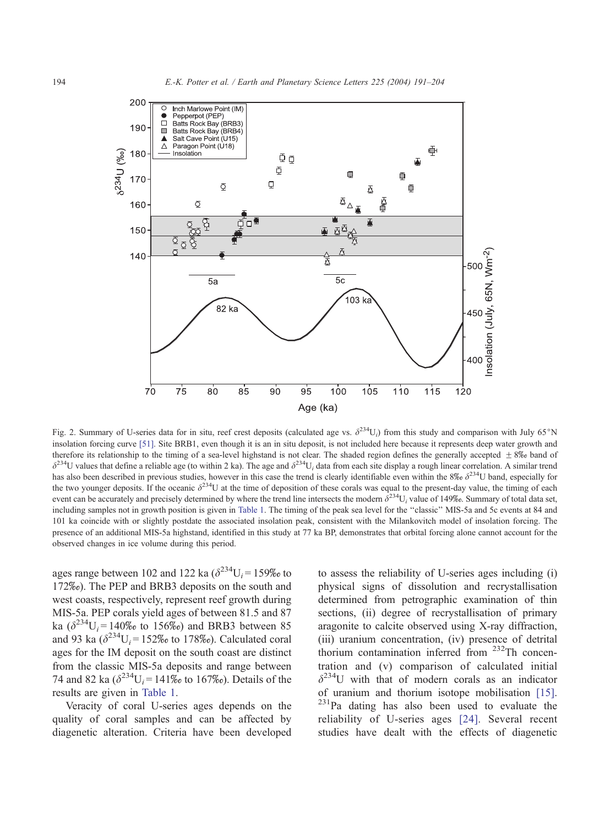<span id="page-3-0"></span>

Fig. 2. Summary of U-series data for in situ, reef crest deposits (calculated age vs.  $\delta^{234}U_i$ ) from this study and comparison with July 65°N insolation forcing curve [\[51\].](#page-13-0) Site BRB1, even though it is an in situ deposit, is not included here because it represents deep water growth and therefore its relationship to the timing of a sea-level highstand is not clear. The shaded region defines the generally accepted  $\pm 8\%$  band of  $\delta^{234}$ U values that define a reliable age (to within 2 ka). The age and  $\delta^{234}$ U<sub>i</sub> data from each site display a rough linear correlation. A similar trend has also been described in previous studies, however in this case the trend is clearly identifiable even within the  $8\%$   $\delta^{234}$ U band, especially for the two younger deposits. If the oceanic  $\delta^{234}U$  at the time of deposition of these corals was equal to the present-day value, the timing of each event can be accurately and precisely determined by where the trend line intersects the modern  $\delta^{234}U_i$  value of 149‰. Summary of total data set, including samples not in growth position is given in [Table 1.](#page-4-0) The timing of the peak sea level for the "classic" MIS-5a and 5c events at 84 and 101 ka coincide with or slightly postdate the associated insolation peak, consistent with the Milankovitch model of insolation forcing. The presence of an additional MIS-5a highstand, identified in this study at 77 ka BP, demonstrates that orbital forcing alone cannot account for the observed changes in ice volume during this period.

ages range between 102 and 122 ka  $(\delta^{234}U_i = 159\% \text{ to}$ 172\%). The PEP and BRB3 deposits on the south and west coasts, respectively, represent reef growth during MIS-5a. PEP corals yield ages of between 81.5 and 87 ka  $(\delta^{234}U_i = 140\% \text{ to } 156\%)$  and BRB3 between 85 and 93 ka  $(\delta^{234}U_i = 152\% \text{ to } 178\% \text{).}$  Calculated coral ages for the IM deposit on the south coast are distinct from the classic MIS-5a deposits and range between 74 and 82 ka  $(\delta^{234}U_i = 141\% \text{ to } 167\% \text{).}$  Details of the results are given in [Table 1.](#page-4-0)

Veracity of coral U-series ages depends on the quality of coral samples and can be affected by diagenetic alteration. Criteria have been developed to assess the reliability of U-series ages including (i) physical signs of dissolution and recrystallisation determined from petrographic examination of thin sections, (ii) degree of recrystallisation of primary aragonite to calcite observed using X-ray diffraction, (iii) uranium concentration, (iv) presence of detrital thorium contamination inferred from <sup>232</sup>Th concentration and (v) comparison of calculated initial  $\delta^{234}$ U with that of modern corals as an indicator of uranium and thorium isotope mobilisation [\[15\].](#page-11-0)<br><sup>231</sup>Pa dating has also been used to evaluate the reliability of U-series ages [\[24\].](#page-12-0) Several recent studies have dealt with the effects of diagenetic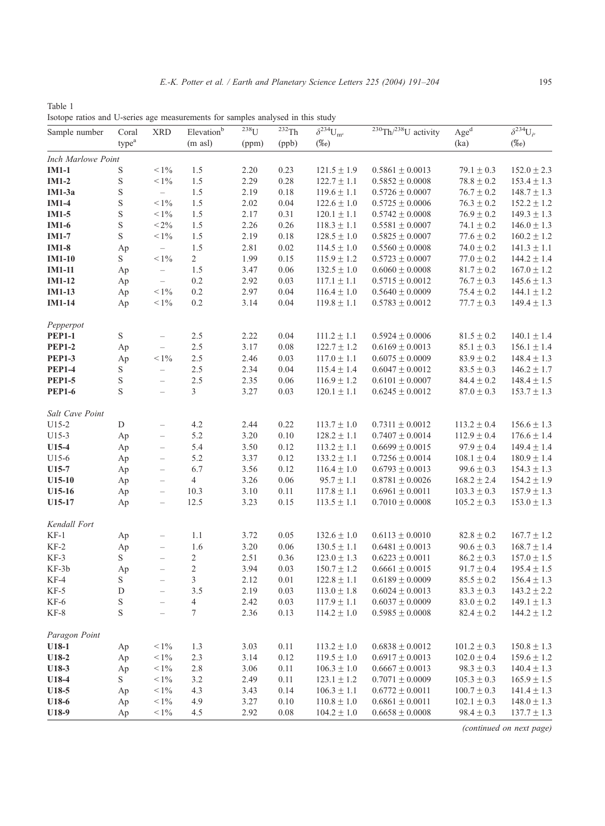<span id="page-4-0"></span>Table 1 Isotope ratios and U-series age measurements for samples analysed in this study

| Sample number   | Coral<br>type <sup>a</sup> | <b>XRD</b>               | Elevation <sup>b</sup><br>$(m \text{ as } l)$ | $\overline{^{238}}\text{U}$<br>(ppm) | $\overline{^{232}}$ Th<br>(ppb) | $\overline{\delta^{234}} U_{\rm mc}$<br>$(\%o)$ | $\sqrt[230]{\text{Th}/^{238}}$ U activity | Age <sup>d</sup><br>(ka) | $\overline{\delta^{234}} \overline{\mathrm{U}}_{i^{\mathrm{e}}}$<br>$(\%o)$ |
|-----------------|----------------------------|--------------------------|-----------------------------------------------|--------------------------------------|---------------------------------|-------------------------------------------------|-------------------------------------------|--------------------------|-----------------------------------------------------------------------------|
|                 |                            |                          |                                               |                                      |                                 |                                                 |                                           |                          |                                                                             |
| <b>IM1-1</b>    | S                          | $< 1\%$                  | 1.5                                           | 2.20                                 | 0.23                            | $121.5 \pm 1.9$                                 | $0.5861 \pm 0.0013$                       | $79.1 \pm 0.3$           | $152.0 \pm 2.3$                                                             |
| $IM1-2$         | $\mathbf S$                | $< 1\%$                  | $1.5\,$                                       | 2.29                                 | 0.28                            | $122.7 \pm 1.1$                                 | $0.5852 \pm 0.0008$                       | $78.8 \pm 0.2$           | $153.4 \pm 1.3$                                                             |
| IM1-3a          | S                          | $\overline{\phantom{0}}$ | 1.5                                           | 2.19                                 | 0.18                            | $119.6 \pm 1.1$                                 | $0.5726 \pm 0.0007$                       | $76.7 \pm 0.2$           | $148.7 \pm 1.3$                                                             |
| $IM1-4$         | S                          | $< 1\%$                  | 1.5                                           | 2.02                                 | 0.04                            | $122.6 \pm 1.0$                                 | $0.5725 \pm 0.0006$                       | $76.3 \pm 0.2$           | $152.2 \pm 1.2$                                                             |
| $IM1-5$         | $\mathbf S$                | $< 1\%$                  | 1.5                                           | 2.17                                 | 0.31                            | $120.1 \pm 1.1$                                 | $0.5742 \pm 0.0008$                       | $76.9 \pm 0.2$           | $149.3 \pm 1.3$                                                             |
| IM1-6           | $\mathbf S$                | $< 2\%$                  | 1.5                                           | 2.26                                 | 0.26                            | $118.3 \pm 1.1$                                 | $0.5581 \pm 0.0007$                       | 74.1 $\pm$ 0.2           | $146.0 \pm 1.3$                                                             |
| <b>IM1-7</b>    | S                          | $< 1\%$                  | 1.5                                           | 2.19                                 | 0.18                            | $128.5 \pm 1.0$                                 | $0.5825 \pm 0.0007$                       | $77.6 \pm 0.2$           | $160.2 \pm 1.2$                                                             |
| $IM1-8$         | Ap                         | $\overline{\phantom{0}}$ | 1.5                                           | 2.81                                 | 0.02                            | $114.5 \pm 1.0$                                 | $0.5560 \pm 0.0008$                       | $74.0 \pm 0.2$           | $141.3 \pm 1.1$                                                             |
| $IM1-10$        | S                          | $< 1\%$                  | $\overline{c}$                                | 1.99                                 | 0.15                            | $115.9 \pm 1.2$                                 | $0.5723 \pm 0.0007$                       | $77.0 \pm 0.2$           | $144.2 \pm 1.4$                                                             |
| <b>IM1-11</b>   | Ap                         | $\overline{\phantom{a}}$ | 1.5                                           | 3.47                                 | 0.06                            | $132.5 \pm 1.0$                                 | $0.6060 \pm 0.0008$                       | $81.7 \pm 0.2$           | $167.0 \pm 1.2$                                                             |
| $IM1-12$        | Ap                         | $\overline{\phantom{0}}$ | 0.2                                           | 2.92                                 | 0.03                            | $117.1 \pm 1.1$                                 | $0.5715 \pm 0.0012$                       | $76.7 \pm 0.3$           | $145.6 \pm 1.3$                                                             |
| $IM1-13$        | Ap                         | $< 1\%$                  | 0.2                                           | 2.97                                 | 0.04                            | $116.4 \pm 1.0$                                 | $0.5640 \pm 0.0009$                       | $75.4 \pm 0.2$           | $144.1 \pm 1.2$                                                             |
| <b>IM1-14</b>   | Ap                         | $\leq 1\%$               | 0.2                                           | 3.14                                 | 0.04                            | $119.8 \pm 1.1$                                 | $0.5783 \pm 0.0012$                       | $77.7 \pm 0.3$           | $149.4 \pm 1.3$                                                             |
| Pepperpot       |                            |                          |                                               |                                      |                                 |                                                 |                                           |                          |                                                                             |
| <b>PEP1-1</b>   | S                          | $\overline{\phantom{a}}$ | 2.5                                           | 2.22                                 | 0.04                            | $111.2 \pm 1.1$                                 | $0.5924 \pm 0.0006$                       | $81.5 \pm 0.2$           | $140.1 \pm 1.4$                                                             |
| <b>PEP1-2</b>   | Ap                         | $\overline{\phantom{a}}$ | 2.5                                           | 3.17                                 | 0.08                            | $122.7 \pm 1.2$                                 | $0.6169 \pm 0.0013$                       | $85.1 \pm 0.3$           | $156.1 \pm 1.4$                                                             |
| <b>PEP1-3</b>   | Ap                         | $< 1\%$                  | 2.5                                           | 2.46                                 | 0.03                            | $117.0 \pm 1.1$                                 | $0.6075 \pm 0.0009$                       | $83.9 \pm 0.2$           | $148.4 \pm 1.3$                                                             |
| <b>PEP1-4</b>   | S                          | $\overline{\phantom{0}}$ | 2.5                                           | 2.34                                 | 0.04                            | $115.4 \pm 1.4$                                 | $0.6047 \pm 0.0012$                       | $83.5 \pm 0.3$           | $146.2 \pm 1.7$                                                             |
| <b>PEP1-5</b>   | $\mathbf S$                | $\qquad \qquad -$        | 2.5                                           | 2.35                                 | 0.06                            | $116.9 \pm 1.2$                                 | $0.6101 \pm 0.0007$                       | $84.4 \pm 0.2$           | $148.4 \pm 1.5$                                                             |
| <b>PEP1-6</b>   | S                          | $\overline{\phantom{a}}$ | 3                                             | 3.27                                 | 0.03                            | $120.1 \pm 1.1$                                 | $0.6245 \pm 0.0012$                       | $87.0 \pm 0.3$           | $153.7 \pm 1.3$                                                             |
| Salt Cave Point |                            |                          |                                               |                                      |                                 |                                                 |                                           |                          |                                                                             |
| $U15-2$         | ${\rm D}$                  | $\overline{\phantom{0}}$ | 4.2                                           | 2.44                                 | 0.22                            | $113.7 \pm 1.0$                                 | $0.7311 \pm 0.0012$                       | $113.2 \pm 0.4$          | $156.6 \pm 1.3$                                                             |
| $U15-3$         | Ap                         | $\overline{\phantom{0}}$ | 5.2                                           | 3.20                                 | 0.10                            | $128.2 \pm 1.1$                                 | $0.7407 \pm 0.0014$                       | $112.9 \pm 0.4$          | $176.6 \pm 1.4$                                                             |
| $U15-4$         | Ap                         | $\overline{\phantom{a}}$ | 5.4                                           | 3.50                                 | 0.12                            | $113.2 \pm 1.1$                                 | $0.6699 \pm 0.0015$                       | $97.9 \pm 0.4$           | $149.4 \pm 1.4$                                                             |
| U15-6           | Ap                         | $\overline{\phantom{a}}$ | 5.2                                           | 3.37                                 | 0.12                            | $133.2 \pm 1.1$                                 | $0.7256 \pm 0.0014$                       | $108.1 \pm 0.4$          | $180.9 \pm 1.4$                                                             |
| $U15-7$         | Ap                         | $\overline{\phantom{0}}$ | 6.7                                           | 3.56                                 | 0.12                            | $116.4 \pm 1.0$                                 | $0.6793 \pm 0.0013$                       | $99.6 \pm 0.3$           | $154.3 \pm 1.3$                                                             |
| $U15-10$        | Ap                         | $\qquad \qquad -$        | 4                                             | 3.26                                 | 0.06                            | $95.7 \pm 1.1$                                  | $0.8781 \pm 0.0026$                       | $168.2 \pm 2.4$          | $154.2 \pm 1.9$                                                             |
| $U15-16$        | Ap                         | $\overline{\phantom{a}}$ | 10.3                                          | 3.10                                 | 0.11                            | $117.8 \pm 1.1$                                 | $0.6961 \pm 0.0011$                       | $103.3 \pm 0.3$          | $157.9 \pm 1.3$                                                             |
| U15-17          | Ap                         | $\overline{\phantom{a}}$ | 12.5                                          | 3.23                                 | 0.15                            | $113.5 \pm 1.1$                                 | $0.7010 \pm 0.0008$                       | $105.2 \pm 0.3$          | $153.0 \pm 1.3$                                                             |
| Kendall Fort    |                            |                          |                                               |                                      |                                 |                                                 |                                           |                          |                                                                             |
| $KF-1$          | Ap                         | $\qquad \qquad -$        | 1.1                                           | 3.72                                 | 0.05                            | $132.6 \pm 1.0$                                 | $0.6113 \pm 0.0010$                       | $82.8\pm0.2$             | $167.7 \pm 1.2$                                                             |
| $KF-2$          | Ap                         | $\overline{\phantom{0}}$ | 1.6                                           | 3.20                                 | 0.06                            | $130.5 \pm 1.1$                                 | $0.6481 \pm 0.0013$                       | $90.6 \pm 0.3$           | $168.7 \pm 1.4$                                                             |
| KF-3            | S                          | $\overline{\phantom{0}}$ | 2                                             | 2.51                                 | 0.36                            | $123.0 \pm 1.3$                                 | $0.6223 \pm 0.0011$                       | $86.2 \pm 0.3$           | $157.0 \pm 1.5$                                                             |
| KF-3b           | Ap                         | $\overline{\phantom{0}}$ | $\overline{c}$                                | 3.94                                 | 0.03                            | $150.7 \pm 1.2$                                 | $0.6661 \pm 0.0015$                       | $91.7 \pm 0.4$           | $195.4 \pm 1.5$                                                             |
| KF-4            | S                          | $\qquad \qquad -$        | 3                                             | 2.12                                 | 0.01                            | $122.8 \pm 1.1$                                 | $0.6189 \pm 0.0009$                       | $85.5 \pm 0.2$           | $156.4 \pm 1.3$                                                             |
| $KF-5$          | $\mathbf D$                | $\overline{\phantom{0}}$ | 3.5                                           | 2.19                                 | 0.03                            | $113.0 \pm 1.8$                                 | $0.6024 \pm 0.0013$                       | $83.3 \pm 0.3$           | $143.2 \pm 2.2$                                                             |
| KF-6            | $\mathbf S$                | $\overline{\phantom{0}}$ | 4                                             | 2.42                                 | 0.03                            | $117.9 \pm 1.1$                                 | $0.6037 \pm 0.0009$                       | $83.0\pm0.2$             | $149.1 \pm 1.3$                                                             |
| $KF-8$          | S                          | $\qquad \qquad -$        | 7                                             | 2.36                                 | 0.13                            | $114.2 \pm 1.0$                                 | $0.5985 \pm 0.0008$                       | $82.4 \pm 0.2$           | $144.2 \pm 1.2$                                                             |
| Paragon Point   |                            |                          |                                               |                                      |                                 |                                                 |                                           |                          |                                                                             |
| $U18-1$         | Ap                         | $< 1\%$                  | 1.3                                           | 3.03                                 | 0.11                            | $113.2 \pm 1.0$                                 | $0.6838 \pm 0.0012$                       | $101.2 \pm 0.3$          | $150.8 \pm 1.3$                                                             |
| $U18-2$         | Ap                         | $< 1\%$                  | 2.3                                           | 3.14                                 | 0.12                            | $119.5 \pm 1.0$                                 | $0.6917 \pm 0.0013$                       | $102.0 \pm 0.4$          | $159.6 \pm 1.2$                                                             |
| $U18-3$         | Ap                         | $<1\%$                   | 2.8                                           | 3.06                                 | 0.11                            | $106.3 \pm 1.0$                                 | $0.6667 \pm 0.0013$                       | $98.3 \pm 0.3$           | $140.4 \pm 1.3$                                                             |
| U18-4           | S                          | $< 1\%$                  | 3.2                                           | 2.49                                 | 0.11                            | $123.1 \pm 1.2$                                 | $0.7071 \pm 0.0009$                       | $105.3 \pm 0.3$          | $165.9 \pm 1.5$                                                             |
| $U18-5$         | Ap                         | $< 1\%$                  | 4.3                                           | 3.43                                 | 0.14                            | $106.3 \pm 1.1$                                 | $0.6772 \pm 0.0011$                       | $100.7 \pm 0.3$          | $141.4 \pm 1.3$                                                             |
| U18-6           | Ap                         | $< 1\%$                  | 4.9                                           | 3.27                                 | 0.10                            | $110.8 \pm 1.0$                                 | $0.6861 \pm 0.0011$                       | $102.1 \pm 0.3$          | $148.0 \pm 1.3$                                                             |
| U18-9           | Ap                         | $<1\%$                   | 4.5                                           | 2.92                                 | 0.08                            | $104.2 \pm 1.0$                                 | $0.6658 \pm 0.0008$                       | $98.4 \pm 0.3$           | $137.7 \pm 1.3$                                                             |

(continued on next page)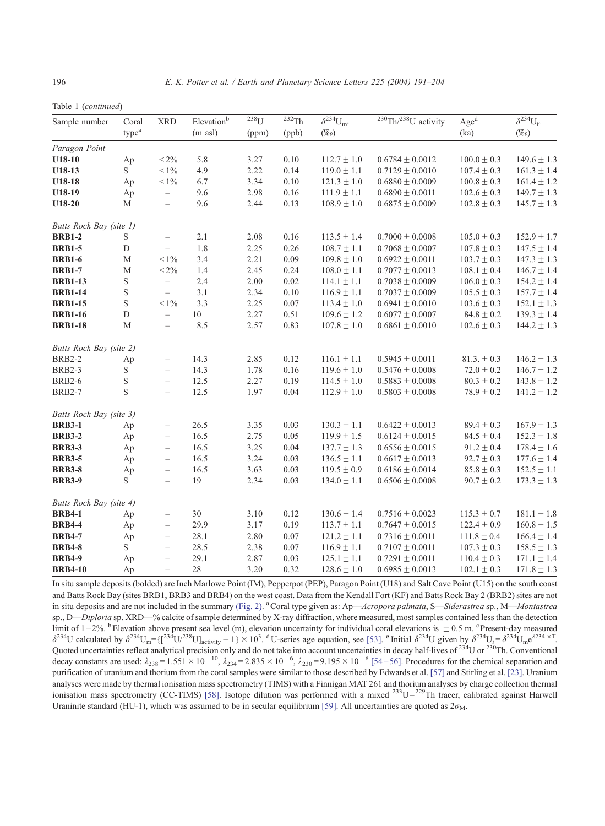Table 1 (continued)

| Sample number           | Coral<br>type <sup>a</sup> | <b>XRD</b>                        | Elevationb<br>$(m \text{ as} l)$ | $238$ U<br>(ppm) | $232$ Th<br>(ppb) | $\overline{\delta^{234}} U_{\rm mc}$<br>$(\%o)$ | $230$ Th $/238$ U activity | $\mathbf{Age}^\mathbf{d}$<br>(ka) | $\delta^{234}U_{i^e}$<br>$(\%)$ |
|-------------------------|----------------------------|-----------------------------------|----------------------------------|------------------|-------------------|-------------------------------------------------|----------------------------|-----------------------------------|---------------------------------|
|                         |                            |                                   |                                  |                  |                   |                                                 |                            |                                   |                                 |
| $U18-10$                | Ap                         | $< 2\%$                           | 5.8                              | 3.27             | 0.10              | $112.7 \pm 1.0$                                 | $0.6784 \pm 0.0012$        | $100.0 \pm 0.3$                   | $149.6 \pm 1.3$                 |
| U18-13                  | S                          | $< 1\%$                           | 4.9                              | 2.22             | 0.14              | $119.0 \pm 1.1$                                 | $0.7129 \pm 0.0010$        | $107.4 \pm 0.3$                   | $161.3 \pm 1.4$                 |
| U18-18                  | Ap                         | $< 1\%$                           | 6.7                              | 3.34             | 0.10              | $121.3 \pm 1.0$                                 | $0.6880 \pm 0.0009$        | $100.8 \pm 0.3$                   | $161.4 \pm 1.2$                 |
| U18-19                  | Ap                         | $\qquad \qquad -$                 | 9.6                              | 2.98             | 0.16              | $111.9 \pm 1.1$                                 | $0.6890 \pm 0.0011$        | $102.6\pm0.3$                     | $149.7 \pm 1.3$                 |
| U18-20                  | М                          | $\hspace{1.0cm} - \hspace{1.0cm}$ | 9.6                              | 2.44             | 0.13              | $108.9 \pm 1.0$                                 | $0.6875 \pm 0.0009$        | $102.8 \pm 0.3$                   | $145.7 \pm 1.3$                 |
| Batts Rock Bay (site 1) |                            |                                   |                                  |                  |                   |                                                 |                            |                                   |                                 |
| <b>BRB1-2</b>           | S                          | $\overline{\phantom{0}}$          | 2.1                              | 2.08             | 0.16              | $113.5 \pm 1.4$                                 | $0.7000 \pm 0.0008$        | $105.0 \pm 0.3$                   | $152.9 \pm 1.7$                 |
| <b>BRB1-5</b>           | $\mathbf D$                | $\overline{\phantom{0}}$          | 1.8                              | 2.25             | 0.26              | $108.7 \pm 1.1$                                 | $0.7068 \pm 0.0007$        | $107.8 \pm 0.3$                   | $147.5 \pm 1.4$                 |
| <b>BRB1-6</b>           | M                          | $< 1\%$                           | 3.4                              | 2.21             | 0.09              | $109.8 \pm 1.0$                                 | $0.6922 \pm 0.0011$        | $103.7 \pm 0.3$                   | $147.3 \pm 1.3$                 |
| <b>BRB1-7</b>           | M                          | $< 2\%$                           | 1.4                              | 2.45             | 0.24              | $108.0 \pm 1.1$                                 | $0.7077 \pm 0.0013$        | $108.1 \pm 0.4$                   | $146.7 \pm 1.4$                 |
| <b>BRB1-13</b>          | $\mathbf S$                | $\overline{\phantom{0}}$          | 2.4                              | 2.00             | 0.02              | $114.1 \pm 1.1$                                 | $0.7038 \pm 0.0009$        | $106.0 \pm 0.3$                   | $154.2 \pm 1.4$                 |
| <b>BRB1-14</b>          | S                          | $\overline{\phantom{0}}$          | 3.1                              | 2.34             | 0.10              | $116.9 \pm 1.1$                                 | $0.7037 \pm 0.0009$        | $105.5 \pm 0.3$                   | $157.7 \pm 1.4$                 |
| <b>BRB1-15</b>          | $\mathbf S$                | $< 1\%$                           | 3.3                              | 2.25             | 0.07              | $113.4 \pm 1.0$                                 | $0.6941 \pm 0.0010$        | $103.6 \pm 0.3$                   | $152.1 \pm 1.3$                 |
| <b>BRB1-16</b>          | $\mathbf D$                | $\equiv$                          | 10                               | 2.27             | 0.51              | $109.6 \pm 1.2$                                 | $0.6077 \pm 0.0007$        | $84.8 \pm 0.2$                    | $139.3 \pm 1.4$                 |
| <b>BRB1-18</b>          | M                          | $\overline{\phantom{0}}$          | 8.5                              | 2.57             | 0.83              | $107.8 \pm 1.0$                                 | $0.6861 \pm 0.0010$        | $102.6 \pm 0.3$                   | $144.2 \pm 1.3$                 |
| Batts Rock Bay (site 2) |                            |                                   |                                  |                  |                   |                                                 |                            |                                   |                                 |
| <b>BRB2-2</b>           | Ap                         | $\overline{\phantom{a}}$          | 14.3                             | 2.85             | 0.12              | $116.1 \pm 1.1$                                 | $0.5945 \pm 0.0011$        | $81.3 \pm 0.3$                    | $146.2 \pm 1.3$                 |
| <b>BRB2-3</b>           | S                          | $\equiv$                          | 14.3                             | 1.78             | 0.16              | $119.6 \pm 1.0$                                 | $0.5476 \pm 0.0008$        | $72.0 \pm 0.2$                    | $146.7 \pm 1.2$                 |
| <b>BRB2-6</b>           | $\mathbf S$                | $\hspace{1.0cm} - \hspace{1.0cm}$ | 12.5                             | 2.27             | 0.19              | $114.5 \pm 1.0$                                 | $0.5883 \pm 0.0008$        | $80.3 \pm 0.2$                    | $143.8 \pm 1.2$                 |
| <b>BRB2-7</b>           | S                          | $\hspace{1.0cm} - \hspace{1.0cm}$ | 12.5                             | 1.97             | 0.04              | $112.9 \pm 1.0$                                 | $0.5803 \pm 0.0008$        | $78.9 \pm 0.2$                    | $141.2 \pm 1.2$                 |
| Batts Rock Bay (site 3) |                            |                                   |                                  |                  |                   |                                                 |                            |                                   |                                 |
| <b>BRB3-1</b>           | Ap                         | $\overline{\phantom{0}}$          | 26.5                             | 3.35             | 0.03              | $130.3 \pm 1.1$                                 | $0.6422 \pm 0.0013$        | $89.4 \pm 0.3$                    | $167.9 \pm 1.3$                 |
| <b>BRB3-2</b>           | Ap                         | $\overline{\phantom{a}}$          | 16.5                             | 2.75             | 0.05              | $119.9 \pm 1.5$                                 | $0.6124 \pm 0.0015$        | $84.5 \pm 0.4$                    | $152.3 \pm 1.8$                 |
| <b>BRB3-3</b>           | Ap                         | $\overline{\phantom{0}}$          | 16.5                             | 3.25             | 0.04              | $137.7 \pm 1.3$                                 | $0.6556 \pm 0.0015$        | $91.2 \pm 0.4$                    | $178.4 \pm 1.6$                 |
| <b>BRB3-5</b>           | Ap                         | $\qquad \qquad -$                 | 16.5                             | 3.24             | 0.03              | $136.5 \pm 1.1$                                 | $0.6617 \pm 0.0013$        | $92.7 \pm 0.3$                    | $177.6 \pm 1.4$                 |
| <b>BRB3-8</b>           | Ap                         | $\overline{\phantom{0}}$          | 16.5                             | 3.63             | 0.03              | $119.5 \pm 0.9$                                 | $0.6186 \pm 0.0014$        | $85.8 \pm 0.3$                    | $152.5 \pm 1.1$                 |
| <b>BRB3-9</b>           | S                          | $\equiv$                          | 19                               | 2.34             | 0.03              | $134.0 \pm 1.1$                                 | $0.6506 \pm 0.0008$        | $90.7 \pm 0.2$                    | $173.3 \pm 1.3$                 |
| Batts Rock Bay (site 4) |                            |                                   |                                  |                  |                   |                                                 |                            |                                   |                                 |
| <b>BRB4-1</b>           | Ap                         | $\overline{\phantom{a}}$          | 30                               | 3.10             | 0.12              | $130.6 \pm 1.4$                                 | $0.7516 \pm 0.0023$        | $115.3 \pm 0.7$                   | $181.1 \pm 1.8$                 |
| <b>BRB4-4</b>           | Ap                         | $\overline{\phantom{0}}$          | 29.9                             | 3.17             | 0.19              | $113.7 \pm 1.1$                                 | $0.7647 \pm 0.0015$        | $122.4 \pm 0.9$                   | $160.8 \pm 1.5$                 |
| <b>BRB4-7</b>           | Ap                         | $\hspace{1.0cm} - \hspace{1.0cm}$ | 28.1                             | 2.80             | 0.07              | $121.2 \pm 1.1$                                 | $0.7316 \pm 0.0011$        | $111.8 \pm 0.4$                   | $166.4 \pm 1.4$                 |
| <b>BRB4-8</b>           | S.                         | $\hspace{1.0cm} - \hspace{1.0cm}$ | 28.5                             | 2.38             | 0.07              | $116.9 \pm 1.1$                                 | $0.7107 \pm 0.0011$        | $107.3 \pm 0.3$                   | $158.5 \pm 1.3$                 |
| <b>BRB4-9</b>           | Ap                         | $\qquad \qquad -$                 | 29.1                             | 2.87             | 0.03              | $125.1 \pm 1.1$                                 | $0.7291 \pm 0.0011$        | $110.4 \pm 0.3$                   | $171.1 \pm 1.4$                 |
| <b>BRB4-10</b>          | Ap                         | $\qquad \qquad -$                 | 28                               | 3.20             | 0.32              | $128.6 \pm 1.0$                                 | $0.6985 \pm 0.0013$        | $102.1 \pm 0.3$                   | $171.8 \pm 1.3$                 |

In situ sample deposits (bolded) are Inch Marlowe Point (IM), Pepperpot (PEP), Paragon Point (U18) and Salt Cave Point (U15) on the south coast and Batts Rock Bay (sites BRB1, BRB3 and BRB4) on the west coast. Data from the Kendall Fort (KF) and Batts Rock Bay 2 (BRB2) sites are not [in situ deposits and are not included in the summary](#page-3-0) (Fig. 2). <sup>a</sup> Coral type given as: Ap—Acropora palmata, S—Siderastrea sp., M—Montastrea sp., D—Diploria sp. XRD—% calcite of sample determined by X-ray diffraction, where measured, most samples contained less than the detection limit of  $1-2\%$ . <sup>b</sup> Elevation above present sea level (m), elevation uncertainty for individual coral elevations is  $\pm 0.5$  m. <sup>c</sup> Present-day measured  $\delta^{234}U$  calculated by  $\delta^{234}U_m = \{\frac{\delta^{234}U}{\delta^{234}U_{\rm{rel}}} = \{\frac$ decay constants are used:  $\lambda_{238} = 1.551 \times 10^{-10}$ ,  $\lambda_{234} = 2.835 \times 10^{-6}$ ,  $\lambda_{230} = 9.195 \times 10^{-6}$  [54–56]. Procedures for the chemical separation and [purification of uranium and thorium from the coral samples were similar to those described by Edwards et al.](#page-13-0) [57] and Stirling et al. [23]. Uranium analyses were made by thermal ionisation mass spectrometry (TIMS) with a Finnigan MAT 261 and thorium analyses by charge collection thermal<br>ionisation mass spectrometry (CC-TIMS) [58]. Isotope dilution was performed with [Uraninite standard \(HU-1\), which was assumed to be in secular equilibrium](#page-13-0) [59]. All uncertainties are quoted as  $2\sigma_M$ .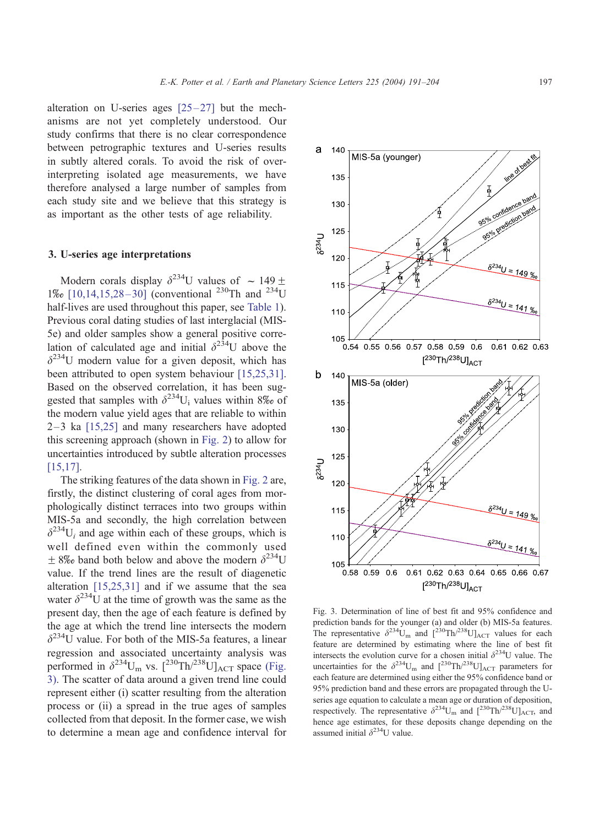alteration on U-series ages  $[25-27]$  but the mechanisms are not yet completely understood. Our study confirms that there is no clear correspondence between petrographic textures and U-series results in subtly altered corals. To avoid the risk of overinterpreting isolated age measurements, we have therefore analysed a large number of samples from each study site and we believe that this strategy is as important as the other tests of age reliability.

#### 3. U-series age interpretations

Modern corals display  $\delta^{234}$ U values of  $\sim$  149  $\pm$ 1\%  $[10,14,15,28-30]$  (conventional <sup>230</sup>Th and <sup>234</sup>U half-lives are used throughout this paper, see [Table 1\)](#page-4-0). Previous coral dating studies of last interglacial (MIS-5e) and older samples show a general positive correlation of calculated age and initial  $\delta^{234}U$  above the  $\delta^{234}$ U modern value for a given deposit, which has been attributed to open system behaviour [\[15,25,31\].](#page-11-0) Based on the observed correlation, it has been suggested that samples with  $\delta^{234}U_i$  values within 8\% of the modern value yield ages that are reliable to within  $2-3$  ka  $[15,25]$  and many researchers have adopted this screening approach (shown in [Fig. 2\)](#page-3-0) to allow for uncertainties introduced by subtle alteration processes [\[15,17\].](#page-11-0)

The striking features of the data shown in [Fig. 2](#page-3-0) are, firstly, the distinct clustering of coral ages from morphologically distinct terraces into two groups within MIS-5a and secondly, the high correlation between  $\delta^{234}U_i$  and age within each of these groups, which is well defined even within the commonly used  $\pm$  8\% band both below and above the modern  $\delta^{234}U$ value. If the trend lines are the result of diagenetic alteration [\[15,25,31\]](#page-11-0) and if we assume that the sea water  $\delta^{234}$ U at the time of growth was the same as the present day, then the age of each feature is defined by the age at which the trend line intersects the modern  $\delta^{234}$ U value. For both of the MIS-5a features, a linear regression and associated uncertainty analysis was performed in  $\delta^{234}U_m$  vs.  $\int^{230} \text{Th}/^{238}U_{\text{ACT}}$  space (Fig. 3). The scatter of data around a given trend line could represent either (i) scatter resulting from the alteration process or (ii) a spread in the true ages of samples collected from that deposit. In the former case, we wish to determine a mean age and confidence interval for



Fig. 3. Determination of line of best fit and 95% confidence and prediction bands for the younger (a) and older (b) MIS-5a features. The representative  $\delta^{234}U_m$  and  $[{}^{230}Th/{}^{238}U]_{\text{ACT}}$  values for each feature are determined by estimating where the line of best fit intersects the evolution curve for a chosen initial  $\delta^{234}U$  value. The uncertainties for the  $\delta^{234}U_m$  and  $[^{230}Th/^{238}U]_{\text{ACT}}$  parameters for each feature are determined using either the 95% confidence band or 95% prediction band and these errors are propagated through the Useries age equation to calculate a mean age or duration of deposition, respectively. The representative  $\delta^{234}U_m$  and  $\int^{230}Th^{238}U_{\rm ACT}$ , and hence age estimates, for these deposits change depending on the assumed initial  $\delta^{234}$ U value.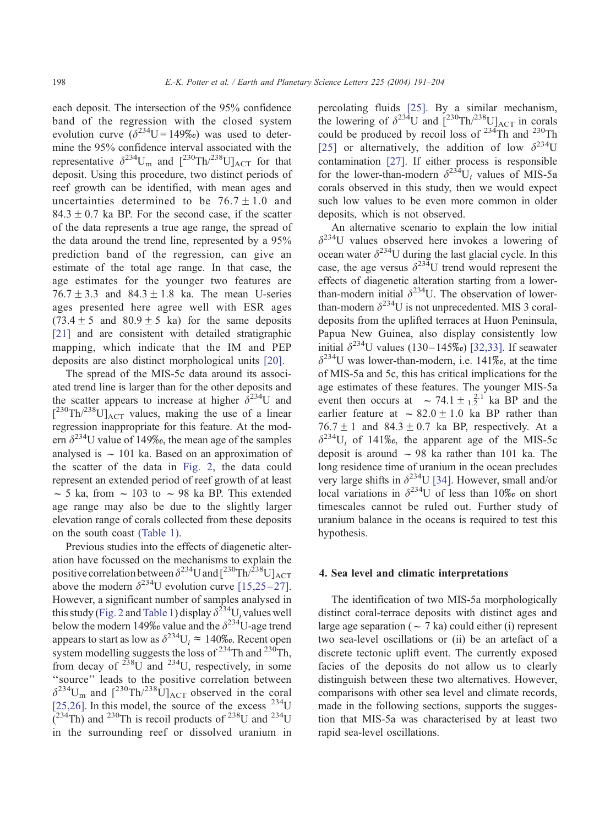each deposit. The intersection of the 95% confidence band of the regression with the closed system evolution curve  $(\delta^{234}U = 149\%)$  was used to determine the 95% confidence interval associated with the representative  $\delta^{234}U_m$  and  $[^{230}Th/^{238}U]_{\text{ACT}}$  for that deposit. Using this procedure, two distinct periods of reef growth can be identified, with mean ages and uncertainties determined to be  $76.7 \pm 1.0$  and  $84.3 \pm 0.7$  ka BP. For the second case, if the scatter of the data represents a true age range, the spread of the data around the trend line, represented by a 95% prediction band of the regression, can give an estimate of the total age range. In that case, the age estimates for the younger two features are  $76.7 \pm 3.3$  and  $84.3 \pm 1.8$  ka. The mean U-series ages presented here agree well with ESR ages  $(73.4 \pm 5$  and  $80.9 \pm 5$  ka) for the same deposits [\[21\]](#page-12-0) and are consistent with detailed stratigraphic mapping, which indicate that the IM and PEP deposits are also distinct morphological units [\[20\].](#page-12-0)

The spread of the MIS-5c data around its associated trend line is larger than for the other deposits and the scatter appears to increase at higher  $\delta^{234}$ U and  $\left[ {}^{230}\text{Th}^{/238}\text{U} \right]_{\text{ACT}}$  values, making the use of a linear regression inappropriate for this feature. At the modern  $\delta^{234}$ U value of 149‰, the mean age of the samples analysed is  $\sim 101$  ka. Based on an approximation of the scatter of the data in [Fig. 2,](#page-3-0) the data could represent an extended period of reef growth of at least  $\sim$  5 ka, from  $\sim$  103 to  $\sim$  98 ka BP. This extended age range may also be due to the slightly larger elevation range of corals collected from these deposits on the south coast [\(Table 1\).](#page-4-0)

Previous studies into the effects of diagenetic alteration have focussed on the mechanisms to explain the positive correlation between  $\delta^{234}$ U and  $[^{230}Th/^{238}U]_{\text{ACT}}$ above the modern  $\delta^{234}$ U evolution curve [15,25–27]. However, a significant number of samples analysed in this study [\(Fig. 2](#page-3-0) and [Table 1\)](#page-4-0) display  $\delta^{234}U_i$  values well below the modern 149% value and the  $\delta^{234}$ U-age trend appears to start as low as  $\delta^{234}U_i \approx 140\%$ . Recent open system modelling suggests the loss of  $^{234}$ Th and  $^{230}$ Th, from decay of  $^{238}$ U and  $^{234}$ U, respectively, in some ''source'' leads to the positive correlation between  $\delta^{234}$ U<sub>m</sub> and  $[^{230}Th/^{238}U]_{ACT}$  observed in the coral [\[25,26\]](#page-12-0). In this model, the source of the excess  $^{234}$ U  $(2^{34} \text{Th})$  and <sup>230</sup>Th is recoil products of <sup>238</sup>U and <sup>234</sup>U in the surrounding reef or dissolved uranium in

percolating fluids [\[25\].](#page-12-0) By a similar mechanism, the lowering of  $\delta^{234}U$  and  $[{}^{230}Th/{}^{238}U]_{\text{ACT}}$  in corals could be produced by recoil loss of  $234$ Th and  $230$ Th [\[25\]](#page-12-0) or alternatively, the addition of low  $\delta^{234}U$ contamination [\[27\].](#page-12-0) If either process is responsible for the lower-than-modern  $\delta^{234}U_i$  values of MIS-5a corals observed in this study, then we would expect such low values to be even more common in older deposits, which is not observed.

An alternative scenario to explain the low initial  $\delta^{234}$ U values observed here invokes a lowering of ocean water  $\delta^{234}U$  during the last glacial cycle. In this case, the age versus  $\delta^{234}U$  trend would represent the effects of diagenetic alteration starting from a lowerthan-modern initial  $\delta^{234}$ U. The observation of lowerthan-modern  $\delta^{234}U$  is not unprecedented. MIS 3 coraldeposits from the uplifted terraces at Huon Peninsula, Papua New Guinea, also display consistently low initial  $\delta^{234}$ U values (130–145‰) [\[32,33\].](#page-12-0) If seawater  $\delta^{234}$ U was lower-than-modern, i.e. 141\% at the time of MIS-5a and 5c, this has critical implications for the age estimates of these features. The younger MIS-5a event then occurs at  $\sim 74.1 \pm 1.2^{2.1}$  ka BP and the earlier feature at  $\sim 82.0 \pm 1.0$  ka BP rather than  $76.7 \pm 1$  and  $84.3 \pm 0.7$  ka BP, respectively. At a  $\delta^{234}U_i$  of 141\%, the apparent age of the MIS-5c deposit is around  $\sim$  98 ka rather than 101 ka. The long residence time of uranium in the ocean precludes very large shifts in  $\delta^{234}$ U [\[34\].](#page-12-0) However, small and/or local variations in  $\delta^{234}U$  of less than 10% on short timescales cannot be ruled out. Further study of uranium balance in the oceans is required to test this hypothesis.

#### 4. Sea level and climatic interpretations

The identification of two MIS-5a morphologically distinct coral-terrace deposits with distinct ages and large age separation ( $\sim$  7 ka) could either (i) represent two sea-level oscillations or (ii) be an artefact of a discrete tectonic uplift event. The currently exposed facies of the deposits do not allow us to clearly distinguish between these two alternatives. However, comparisons with other sea level and climate records, made in the following sections, supports the suggestion that MIS-5a was characterised by at least two rapid sea-level oscillations.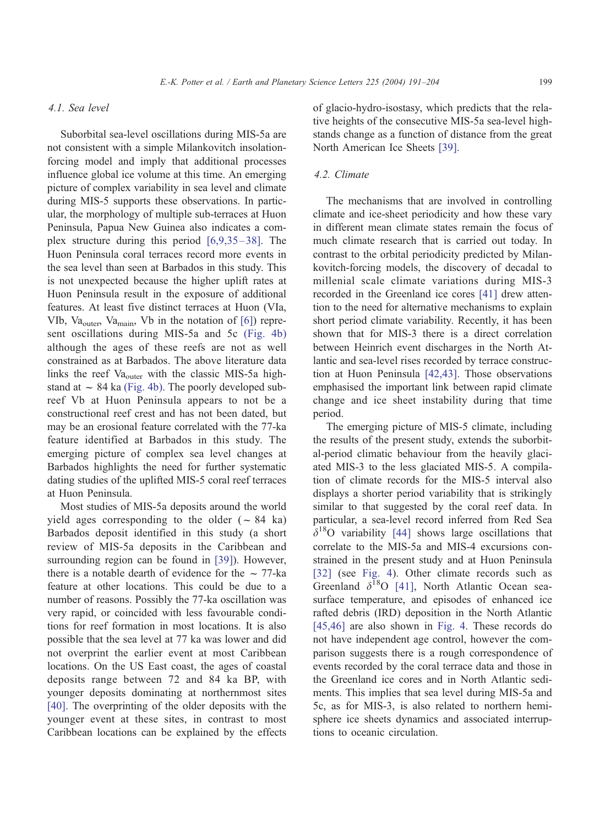#### 4.1. Sea level

Suborbital sea-level oscillations during MIS-5a are not consistent with a simple Milankovitch insolationforcing model and imply that additional processes influence global ice volume at this time. An emerging picture of complex variability in sea level and climate during MIS-5 supports these observations. In particular, the morphology of multiple sub-terraces at Huon Peninsula, Papua New Guinea also indicates a complex structure during this period  $[6,9,35-38]$ . The Huon Peninsula coral terraces record more events in the sea level than seen at Barbados in this study. This is not unexpected because the higher uplift rates at Huon Peninsula result in the exposure of additional features. At least five distinct terraces at Huon (VIa, VIb, Va<sub>outer</sub>, Va<sub>main</sub>, Vb in the notation of  $[6]$ ) represent oscillations during MIS-5a and 5c [\(Fig. 4b\)](#page-9-0) although the ages of these reefs are not as well constrained as at Barbados. The above literature data links the reef  $Va_{outer}$  with the classic MIS-5a highstand at  $\sim$  84 ka [\(Fig. 4b\).](#page-9-0) The poorly developed subreef Vb at Huon Peninsula appears to not be a constructional reef crest and has not been dated, but may be an erosional feature correlated with the 77-ka feature identified at Barbados in this study. The emerging picture of complex sea level changes at Barbados highlights the need for further systematic dating studies of the uplifted MIS-5 coral reef terraces at Huon Peninsula.

Most studies of MIS-5a deposits around the world yield ages corresponding to the older  $(-84 \text{ ka})$ Barbados deposit identified in this study (a short review of MIS-5a deposits in the Caribbean and surrounding region can be found in [\[39\]\)](#page-12-0). However, there is a notable dearth of evidence for the  $\sim$  77-ka feature at other locations. This could be due to a number of reasons. Possibly the 77-ka oscillation was very rapid, or coincided with less favourable conditions for reef formation in most locations. It is also possible that the sea level at 77 ka was lower and did not overprint the earlier event at most Caribbean locations. On the US East coast, the ages of coastal deposits range between 72 and 84 ka BP, with younger deposits dominating at northernmost sites [\[40\].](#page-12-0) The overprinting of the older deposits with the younger event at these sites, in contrast to most Caribbean locations can be explained by the effects

of glacio-hydro-isostasy, which predicts that the relative heights of the consecutive MIS-5a sea-level highstands change as a function of distance from the great North American Ice Sheets [\[39\].](#page-12-0)

## 4.2. Climate

The mechanisms that are involved in controlling climate and ice-sheet periodicity and how these vary in different mean climate states remain the focus of much climate research that is carried out today. In contrast to the orbital periodicity predicted by Milankovitch-forcing models, the discovery of decadal to millenial scale climate variations during MIS-3 recorded in the Greenland ice cores [\[41\]](#page-12-0) drew attention to the need for alternative mechanisms to explain short period climate variability. Recently, it has been shown that for MIS-3 there is a direct correlation between Heinrich event discharges in the North Atlantic and sea-level rises recorded by terrace construction at Huon Peninsula [\[42,43\].](#page-12-0) Those observations emphasised the important link between rapid climate change and ice sheet instability during that time period.

The emerging picture of MIS-5 climate, including the results of the present study, extends the suborbital-period climatic behaviour from the heavily glaciated MIS-3 to the less glaciated MIS-5. A compilation of climate records for the MIS-5 interval also displays a shorter period variability that is strikingly similar to that suggested by the coral reef data. In particular, a sea-level record inferred from Red Sea  $\delta^{18}$ O variability [\[44\]](#page-12-0) shows large oscillations that correlate to the MIS-5a and MIS-4 excursions constrained in the present study and at Huon Peninsula [\[32\]](#page-12-0) (see [Fig. 4\)](#page-9-0). Other climate records such as Greenland  $\delta^{18}O$  [\[41\],](#page-12-0) North Atlantic Ocean seasurface temperature, and episodes of enhanced ice rafted debris (IRD) deposition in the North Atlantic [\[45,46\]](#page-12-0) are also shown in [Fig. 4.](#page-9-0) These records do not have independent age control, however the comparison suggests there is a rough correspondence of events recorded by the coral terrace data and those in the Greenland ice cores and in North Atlantic sediments. This implies that sea level during MIS-5a and 5c, as for MIS-3, is also related to northern hemisphere ice sheets dynamics and associated interruptions to oceanic circulation.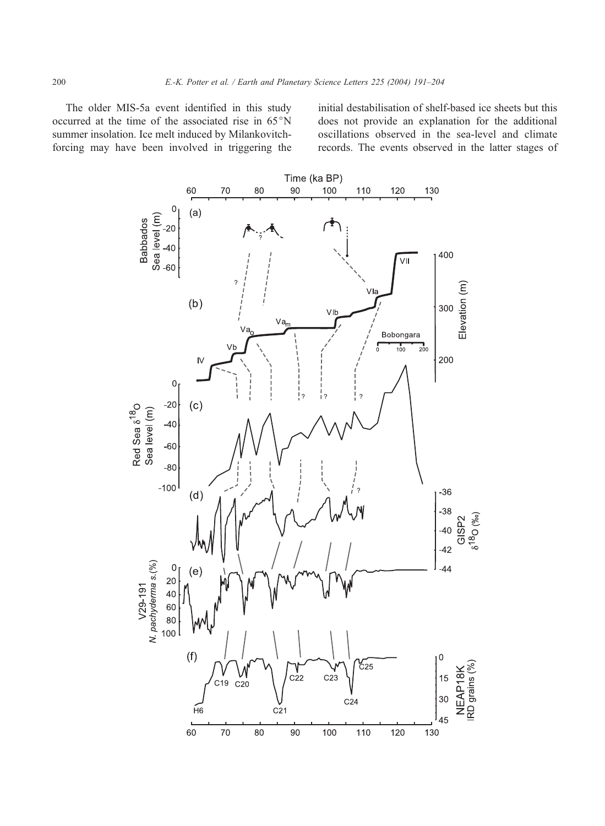The older MIS-5a event identified in this study occurred at the time of the associated rise in  $65^{\circ}N$ summer insolation. Ice melt induced by Milankovitchforcing may have been involved in triggering the initial destabilisation of shelf-based ice sheets but this does not provide an explanation for the additional oscillations observed in the sea-level and climate records. The events observed in the latter stages of



<span id="page-9-0"></span>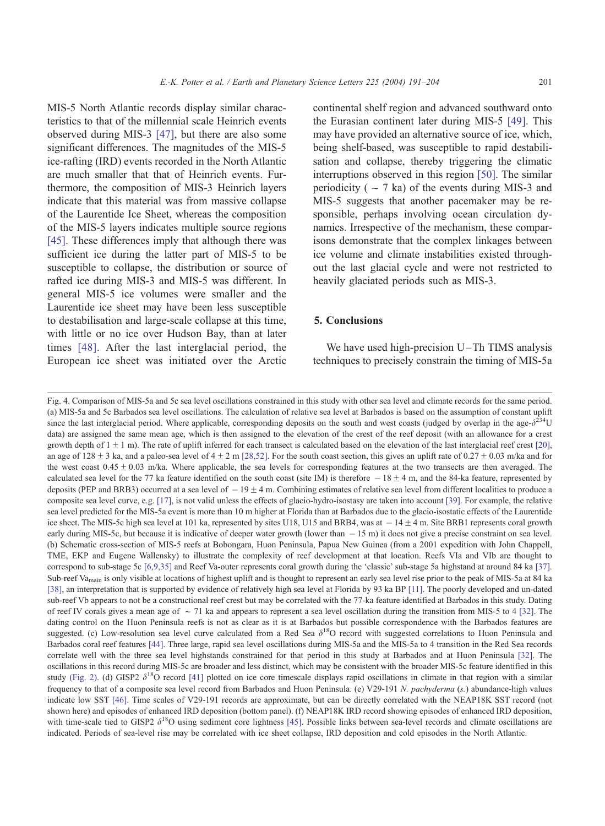MIS-5 North Atlantic records display similar characteristics to that of the millennial scale Heinrich events observed during MIS-3 [\[47\],](#page-12-0) but there are also some significant differences. The magnitudes of the MIS-5 ice-rafting (IRD) events recorded in the North Atlantic are much smaller that that of Heinrich events. Furthermore, the composition of MIS-3 Heinrich layers indicate that this material was from massive collapse of the Laurentide Ice Sheet, whereas the composition of the MIS-5 layers indicates multiple source regions [\[45\].](#page-12-0) These differences imply that although there was sufficient ice during the latter part of MIS-5 to be

susceptible to collapse, the distribution or source of rafted ice during MIS-3 and MIS-5 was different. In general MIS-5 ice volumes were smaller and the Laurentide ice sheet may have been less susceptible to destabilisation and large-scale collapse at this time, with little or no ice over Hudson Bay, than at later times [\[48\]](#page-12-0). After the last interglacial period, the European ice sheet was initiated over the Arctic continental shelf region and advanced southward onto the Eurasian continent later during MIS-5 [\[49\].](#page-13-0) This may have provided an alternative source of ice, which, being shelf-based, was susceptible to rapid destabilisation and collapse, thereby triggering the climatic interruptions observed in this region [\[50\].](#page-13-0) The similar periodicity ( $\sim$  7 ka) of the events during MIS-3 and MIS-5 suggests that another pacemaker may be responsible, perhaps involving ocean circulation dynamics. Irrespective of the mechanism, these comparisons demonstrate that the complex linkages between ice volume and climate instabilities existed throughout the last glacial cycle and were not restricted to heavily glaciated periods such as MIS-3.

# 5. Conclusions

We have used high-precision  $U$ -Th TIMS analysis techniques to precisely constrain the timing of MIS-5a

Fig. 4. Comparison of MIS-5a and 5c sea level oscillations constrained in this study with other sea level and climate records for the same period. (a) MIS-5a and 5c Barbados sea level oscillations. The calculation of relative sea level at Barbados is based on the assumption of constant uplift since the last interglacial period. Where applicable, corresponding deposits on the south and west coasts (judged by overlap in the age- $\delta^{234}U$ data) are assigned the same mean age, which is then assigned to the elevation of the crest of the reef deposit (with an allowance for a crest growth depth of  $1 \pm 1$  m). The rate of uplift inferred for each transect is calculated based on the elevation of the last interglacial reef crest [\[20\],](#page-12-0) an age of  $128 \pm 3$  ka, and a paleo-sea level of  $4 \pm 2$  m [\[28,52\].](#page-12-0) For the south coast section, this gives an uplift rate of 0.27  $\pm$  0.03 m/ka and for the west coast  $0.45 \pm 0.03$  m/ka. Where applicable, the sea levels for corresponding features at the two transects are then averaged. The calculated sea level for the 77 ka feature identified on the south coast (site IM) is therefore  $-18 \pm 4$  m, and the 84-ka feature, represented by deposits (PEP and BRB3) occurred at a sea level of  $-19 \pm 4$  m. Combining estimates of relative sea level from different localities to produce a composite sea level curve, e.g. [\[17\],](#page-11-0) is not valid unless the effects of glacio-hydro-isostasy are taken into account [\[39\].](#page-12-0) For example, the relative sea level predicted for the MIS-5a event is more than 10 m higher at Florida than at Barbados due to the glacio-isostatic effects of the Laurentide ice sheet. The MIS-5c high sea level at 101 ka, represented by sites U18, U15 and BRB4, was at  $-14 \pm 4$  m. Site BRB1 represents coral growth early during MIS-5c, but because it is indicative of deeper water growth (lower than  $-15$  m) it does not give a precise constraint on sea level. (b) Schematic cross-section of MIS-5 reefs at Bobongara, Huon Peninsula, Papua New Guinea (from a 2001 expedition with John Chappell, TME, EKP and Eugene Wallensky) to illustrate the complexity of reef development at that location. Reefs VIa and VIb are thought to correspond to sub-stage 5c [\[6,9,35\]](#page-11-0) and Reef Va-outer represents coral growth during the 'classic' sub-stage 5a highstand at around 84 ka [\[37\].](#page-12-0) Sub-reef Va<sub>main</sub> is only visible at locations of highest uplift and is thought to represent an early sea level rise prior to the peak of MIS-5a at 84 ka [\[38\],](#page-12-0) an interpretation that is supported by evidence of relatively high sea level at Florida by 93 ka BP [\[11\].](#page-11-0) The poorly developed and un-dated sub-reef Vb appears to not be a constructional reef crest but may be correlated with the 77-ka feature identified at Barbados in this study. Dating of reef IV corals gives a mean age of  $\sim$  71 ka and appears to represent a sea level oscillation during the transition from MIS-5 to 4 [\[32\].](#page-12-0) The dating control on the Huon Peninsula reefs is not as clear as it is at Barbados but possible correspondence with the Barbados features are suggested. (c) Low-resolution sea level curve calculated from a Red Sea  $\delta^{18}O$  record with suggested correlations to Huon Peninsula and Barbados coral reef features [\[44\].](#page-12-0) Three large, rapid sea level oscillations during MIS-5a and the MIS-5a to 4 transition in the Red Sea records correlate well with the three sea level highstands constrained for that period in this study at Barbados and at Huon Peninsula [\[32\].](#page-12-0) The oscillations in this record during MIS-5c are broader and less distinct, which may be consistent with the broader MIS-5c feature identified in this study [\(Fig. 2\).](#page-3-0) (d) GISP2  $\delta^{18}O$  record [\[41\]](#page-12-0) plotted on ice core timescale displays rapid oscillations in climate in that region with a similar frequency to that of a composite sea level record from Barbados and Huon Peninsula. (e) V29-191 N. pachyderma (s.) abundance-high values indicate low SST [\[46\].](#page-12-0) Time scales of V29-191 records are approximate, but can be directly correlated with the NEAP18K SST record (not shown here) and episodes of enhanced IRD deposition (bottom panel). (f) NEAP18K IRD record showing episodes of enhanced IRD deposition, with time-scale tied to GISP2  $\delta^{18}O$  using sediment core lightness [\[45\].](#page-12-0) Possible links between sea-level records and climate oscillations are indicated. Periods of sea-level rise may be correlated with ice sheet collapse, IRD deposition and cold episodes in the North Atlantic.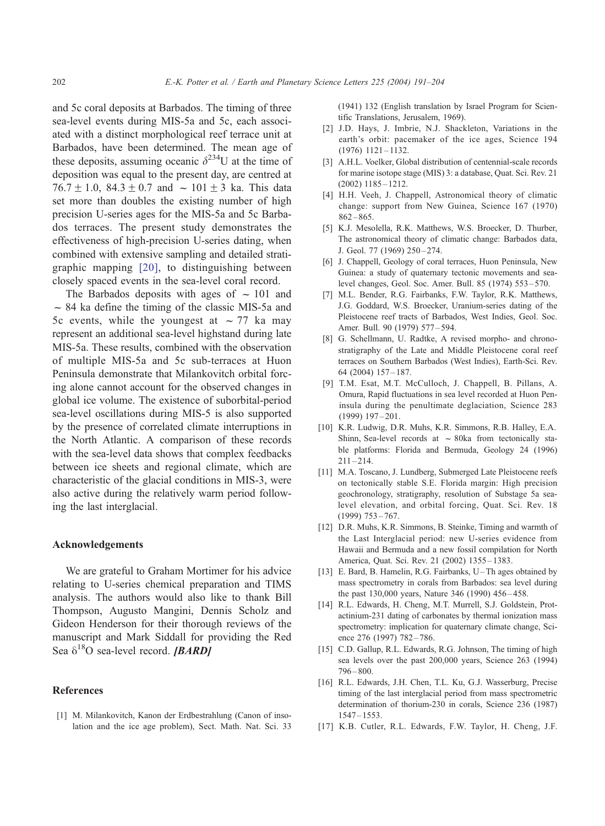<span id="page-11-0"></span>and 5c coral deposits at Barbados. The timing of three sea-level events during MIS-5a and 5c, each associated with a distinct morphological reef terrace unit at Barbados, have been determined. The mean age of these deposits, assuming oceanic  $\delta^{234}U$  at the time of deposition was equal to the present day, are centred at  $76.7 \pm 1.0$ ,  $84.3 \pm 0.7$  and  $\sim 101 \pm 3$  ka. This data set more than doubles the existing number of high precision U-series ages for the MIS-5a and 5c Barbados terraces. The present study demonstrates the effectiveness of high-precision U-series dating, when combined with extensive sampling and detailed stratigraphic mapping [\[20\],](#page-12-0) to distinguishing between closely spaced events in the sea-level coral record.

The Barbados deposits with ages of  $\sim 101$  and  $\sim$  84 ka define the timing of the classic MIS-5a and 5c events, while the youngest at  $\sim$  77 ka may represent an additional sea-level highstand during late MIS-5a. These results, combined with the observation of multiple MIS-5a and 5c sub-terraces at Huon Peninsula demonstrate that Milankovitch orbital forcing alone cannot account for the observed changes in global ice volume. The existence of suborbital-period sea-level oscillations during MIS-5 is also supported by the presence of correlated climate interruptions in the North Atlantic. A comparison of these records with the sea-level data shows that complex feedbacks between ice sheets and regional climate, which are characteristic of the glacial conditions in MIS-3, were also active during the relatively warm period following the last interglacial.

#### Acknowledgements

We are grateful to Graham Mortimer for his advice relating to U-series chemical preparation and TIMS analysis. The authors would also like to thank Bill Thompson, Augusto Mangini, Dennis Scholz and Gideon Henderson for their thorough reviews of the manuscript and Mark Siddall for providing the Red Sea  $\delta^{18}$ O sea-level record. [BARD]

#### References

[1] M. Milankovitch, Kanon der Erdbestrahlung (Canon of insolation and the ice age problem), Sect. Math. Nat. Sci. 33 (1941) 132 (English translation by Israel Program for Scientific Translations, Jerusalem, 1969).

- [2] J.D. Hays, J. Imbrie, N.J. Shackleton, Variations in the earth's orbit: pacemaker of the ice ages, Science 194 (1976) 1121 – 1132.
- [3] A.H.L. Voelker, Global distribution of centennial-scale records for marine isotope stage (MIS) 3: a database, Quat. Sci. Rev. 21 (2002) 1185 – 1212.
- [4] H.H. Veeh, J. Chappell, Astronomical theory of climatic change: support from New Guinea, Science 167 (1970)  $862 - 865.$
- [5] K.J. Mesolella, R.K. Matthews, W.S. Broecker, D. Thurber, The astronomical theory of climatic change: Barbados data, J. Geol. 77 (1969) 250-274.
- [6] J. Chappell, Geology of coral terraces, Huon Peninsula, New Guinea: a study of quaternary tectonic movements and sealevel changes, Geol. Soc. Amer. Bull. 85 (1974) 553 – 570.
- [7] M.L. Bender, R.G. Fairbanks, F.W. Taylor, R.K. Matthews, J.G. Goddard, W.S. Broecker, Uranium-series dating of the Pleistocene reef tracts of Barbados, West Indies, Geol. Soc. Amer. Bull. 90 (1979) 577 – 594.
- [8] G. Schellmann, U. Radtke, A revised morpho- and chronostratigraphy of the Late and Middle Pleistocene coral reef terraces on Southern Barbados (West Indies), Earth-Sci. Rev. 64 (2004) 157 – 187.
- [9] T.M. Esat, M.T. McCulloch, J. Chappell, B. Pillans, A. Omura, Rapid fluctuations in sea level recorded at Huon Peninsula during the penultimate deglaciation, Science 283 (1999) 197 – 201.
- [10] K.R. Ludwig, D.R. Muhs, K.R. Simmons, R.B. Halley, E.A. Shinn, Sea-level records at  $\sim$  80ka from tectonically stable platforms: Florida and Bermuda, Geology 24 (1996)  $211 - 214$
- [11] M.A. Toscano, J. Lundberg, Submerged Late Pleistocene reefs on tectonically stable S.E. Florida margin: High precision geochronology, stratigraphy, resolution of Substage 5a sealevel elevation, and orbital forcing, Quat. Sci. Rev. 18 (1999) 753 – 767.
- [12] D.R. Muhs, K.R. Simmons, B. Steinke, Timing and warmth of the Last Interglacial period: new U-series evidence from Hawaii and Bermuda and a new fossil compilation for North America, Quat. Sci. Rev. 21 (2002) 1355 – 1383.
- [13] E. Bard, B. Hamelin, R.G. Fairbanks, U-Th ages obtained by mass spectrometry in corals from Barbados: sea level during the past 130,000 years, Nature 346 (1990) 456 – 458.
- [14] R.L. Edwards, H. Cheng, M.T. Murrell, S.J. Goldstein, Protactinium-231 dating of carbonates by thermal ionization mass spectrometry: implication for quaternary climate change, Science 276 (1997) 782-786.
- [15] C.D. Gallup, R.L. Edwards, R.G. Johnson, The timing of high sea levels over the past 200,000 years, Science 263 (1994)  $796 - 800.$
- [16] R.L. Edwards, J.H. Chen, T.L. Ku, G.J. Wasserburg, Precise timing of the last interglacial period from mass spectrometric determination of thorium-230 in corals, Science 236 (1987) 1547 – 1553.
- [17] K.B. Cutler, R.L. Edwards, F.W. Taylor, H. Cheng, J.F.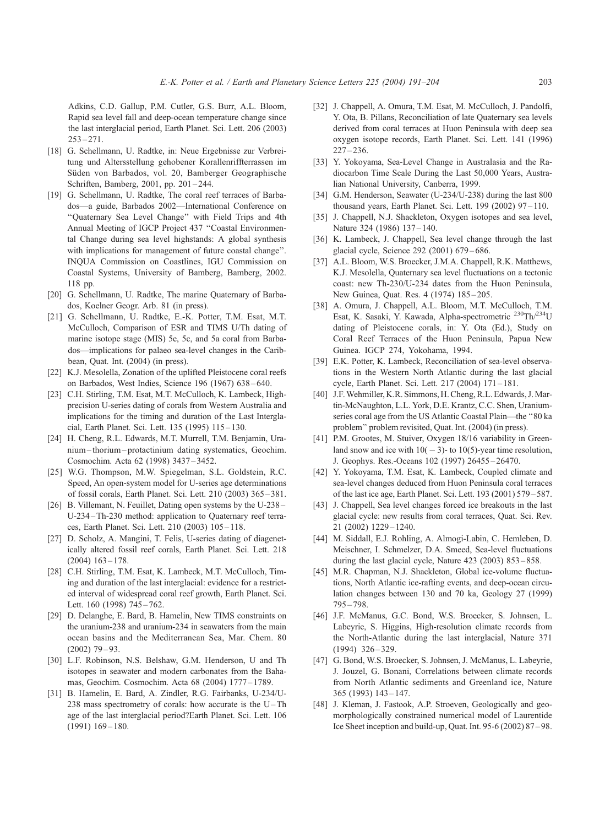<span id="page-12-0"></span>Adkins, C.D. Gallup, P.M. Cutler, G.S. Burr, A.L. Bloom, Rapid sea level fall and deep-ocean temperature change since the last interglacial period, Earth Planet. Sci. Lett. 206 (2003)  $253 - 271$ 

- [18] G. Schellmann, U. Radtke, in: Neue Ergebnisse zur Verbreitung und Altersstellung gehobener Korallenriffterrassen im Süden von Barbados, vol. 20, Bamberger Geographische Schriften, Bamberg, 2001, pp. 201 – 244.
- [19] G. Schellmann, U. Radtke, The coral reef terraces of Barbados—a guide, Barbados 2002—International Conference on ''Quaternary Sea Level Change'' with Field Trips and 4th Annual Meeting of IGCP Project 437 ''Coastal Environmental Change during sea level highstands: A global synthesis with implications for management of future coastal change''. INQUA Commission on Coastlines, IGU Commission on Coastal Systems, University of Bamberg, Bamberg, 2002. 118 pp.
- [20] G. Schellmann, U. Radtke, The marine Quaternary of Barbados, Koelner Geogr. Arb. 81 (in press).
- [21] G. Schellmann, U. Radtke, E.-K. Potter, T.M. Esat, M.T. McCulloch, Comparison of ESR and TIMS U/Th dating of marine isotope stage (MIS) 5e, 5c, and 5a coral from Barbados—implications for palaeo sea-level changes in the Caribbean, Quat. Int. (2004) (in press).
- [22] K.J. Mesolella, Zonation of the uplifted Pleistocene coral reefs on Barbados, West Indies, Science 196 (1967) 638 – 640.
- [23] C.H. Stirling, T.M. Esat, M.T. McCulloch, K. Lambeck, Highprecision U-series dating of corals from Western Australia and implications for the timing and duration of the Last Interglacial, Earth Planet. Sci. Lett. 135 (1995) 115 – 130.
- [24] H. Cheng, R.L. Edwards, M.T. Murrell, T.M. Benjamin, Uranium –thorium – protactinium dating systematics, Geochim. Cosmochim. Acta 62 (1998) 3437 – 3452.
- [25] W.G. Thompson, M.W. Spiegelman, S.L. Goldstein, R.C. Speed, An open-system model for U-series age determinations of fossil corals, Earth Planet. Sci. Lett. 210 (2003) 365 – 381.
- [26] B. Villemant, N. Feuillet, Dating open systems by the U-238 U-234 – Th-230 method: application to Quaternary reef terraces, Earth Planet. Sci. Lett. 210 (2003) 105 – 118.
- [27] D. Scholz, A. Mangini, T. Felis, U-series dating of diagenetically altered fossil reef corals, Earth Planet. Sci. Lett. 218  $(2004)$  163 – 178.
- [28] C.H. Stirling, T.M. Esat, K. Lambeck, M.T. McCulloch, Timing and duration of the last interglacial: evidence for a restricted interval of widespread coral reef growth, Earth Planet. Sci. Lett. 160 (1998) 745-762.
- [29] D. Delanghe, E. Bard, B. Hamelin, New TIMS constraints on the uranium-238 and uranium-234 in seawaters from the main ocean basins and the Mediterranean Sea, Mar. Chem. 80  $(2002)$  79 – 93.
- [30] L.F. Robinson, N.S. Belshaw, G.M. Henderson, U and Th isotopes in seawater and modern carbonates from the Bahamas, Geochim. Cosmochim. Acta 68 (2004) 1777 – 1789.
- [31] B. Hamelin, E. Bard, A. Zindler, R.G. Fairbanks, U-234/U-238 mass spectrometry of corals: how accurate is the  $U$ -Th age of the last interglacial period?Earth Planet. Sci. Lett. 106  $(1991) 169 - 180.$
- [32] J. Chappell, A. Omura, T.M. Esat, M. McCulloch, J. Pandolfi, Y. Ota, B. Pillans, Reconciliation of late Quaternary sea levels derived from coral terraces at Huon Peninsula with deep sea oxygen isotope records, Earth Planet. Sci. Lett. 141 (1996)  $227 - 236$ .
- [33] Y. Yokoyama, Sea-Level Change in Australasia and the Radiocarbon Time Scale During the Last 50,000 Years, Australian National University, Canberra, 1999.
- [34] G.M. Henderson, Seawater (U-234/U-238) during the last 800 thousand years, Earth Planet. Sci. Lett. 199 (2002) 97 – 110.
- [35] J. Chappell, N.J. Shackleton, Oxygen isotopes and sea level, Nature 324 (1986) 137-140.
- [36] K. Lambeck, J. Chappell, Sea level change through the last glacial cycle, Science 292 (2001) 679 – 686.
- [37] A.L. Bloom, W.S. Broecker, J.M.A. Chappell, R.K. Matthews, K.J. Mesolella, Quaternary sea level fluctuations on a tectonic coast: new Th-230/U-234 dates from the Huon Peninsula, New Guinea, Quat. Res. 4 (1974) 185-205.
- [38] A. Omura, J. Chappell, A.L. Bloom, M.T. McCulloch, T.M. Esat, K. Sasaki, Y. Kawada, Alpha-spectrometric 230Th/234U dating of Pleistocene corals, in: Y. Ota (Ed.), Study on Coral Reef Terraces of the Huon Peninsula, Papua New Guinea. IGCP 274, Yokohama, 1994.
- [39] E.K. Potter, K. Lambeck, Reconciliation of sea-level observations in the Western North Atlantic during the last glacial cycle, Earth Planet. Sci. Lett. 217 (2004) 171 – 181.
- [40] J.F.Wehmiller, K.R. Simmons, H. Cheng, R.L. Edwards, J.Martin-McNaughton, L.L. York, D.E. Krantz, C.C. Shen, Uraniumseries coral age from the US Atlantic Coastal Plain—the ''80 ka problem'' problem revisited, Quat. Int. (2004) (in press).
- [41] P.M. Grootes, M. Stuiver, Oxygen 18/16 variability in Greenland snow and ice with  $10(-3)$ - to  $10(5)$ -year time resolution, J. Geophys. Res.-Oceans 102 (1997) 26455 – 26470.
- [42] Y. Yokoyama, T.M. Esat, K. Lambeck, Coupled climate and sea-level changes deduced from Huon Peninsula coral terraces of the last ice age, Earth Planet. Sci. Lett. 193 (2001) 579 – 587.
- [43] J. Chappell, Sea level changes forced ice breakouts in the last glacial cycle: new results from coral terraces, Quat. Sci. Rev. 21 (2002) 1229 – 1240.
- [44] M. Siddall, E.J. Rohling, A. Almogi-Labin, C. Hemleben, D. Meischner, I. Schmelzer, D.A. Smeed, Sea-level fluctuations during the last glacial cycle, Nature 423 (2003) 853-858.
- [45] M.R. Chapman, N.J. Shackleton, Global ice-volume fluctuations, North Atlantic ice-rafting events, and deep-ocean circulation changes between 130 and 70 ka, Geology 27 (1999)  $795 - 798.$
- [46] J.F. McManus, G.C. Bond, W.S. Broecker, S. Johnsen, L. Labeyrie, S. Higgins, High-resolution climate records from the North-Atlantic during the last interglacial, Nature 371  $(1994)$  326 – 329.
- [47] G. Bond, W.S. Broecker, S. Johnsen, J. McManus, L. Labeyrie, J. Jouzel, G. Bonani, Correlations between climate records from North Atlantic sediments and Greenland ice, Nature 365 (1993) 143 – 147.
- [48] J. Kleman, J. Fastook, A.P. Stroeven, Geologically and geomorphologically constrained numerical model of Laurentide Ice Sheet inception and build-up, Quat. Int. 95-6 (2002) 87 – 98.